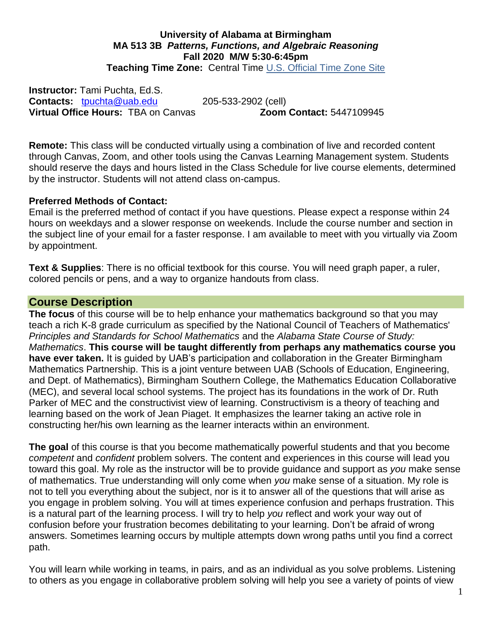#### **University of Alabama at Birmingham MA 513 3B** *Patterns, Functions, and Algebraic Reasoning* **Fall 2020 M/W 5:30-6:45pm Teaching Time Zone:** Central Time [U.S. Official Time Zone Site](http://24timezones.com/us_clock/usa_time.php)

**Instructor:** Tami Puchta, Ed.S. **Contacts:** [tpuchta@uab.edu](mailto:tpuchta@uab.edu) 205-533-2902 (cell) **Virtual Office Hours:** TBA on Canvas **Zoom Contact:** 5447109945

**Remote:** This class will be conducted virtually using a combination of live and recorded content through Canvas, Zoom, and other tools using the Canvas Learning Management system. Students should reserve the days and hours listed in the Class Schedule for live course elements, determined by the instructor. Students will not attend class on-campus.

#### **Preferred Methods of Contact:**

Email is the preferred method of contact if you have questions. Please expect a response within 24 hours on weekdays and a slower response on weekends. Include the course number and section in the subject line of your email for a faster response. I am available to meet with you virtually via Zoom by appointment.

**Text & Supplies**: There is no official textbook for this course. You will need graph paper, a ruler, colored pencils or pens, and a way to organize handouts from class.

### **Course Description**

**The focus** of this course will be to help enhance your mathematics background so that you may teach a rich K-8 grade curriculum as specified by the National Council of Teachers of Mathematics' *Principles and Standards for School Mathematics* and the *Alabama State Course of Study: Mathematics*. **This course will be taught differently from perhaps any mathematics course you have ever taken.** It is guided by UAB's participation and collaboration in the Greater Birmingham Mathematics Partnership. This is a joint venture between UAB (Schools of Education, Engineering, and Dept. of Mathematics), Birmingham Southern College, the Mathematics Education Collaborative (MEC), and several local school systems. The project has its foundations in the work of Dr. Ruth Parker of MEC and the constructivist view of learning. Constructivism is a theory of teaching and learning based on the work of Jean Piaget. It emphasizes the learner taking an active role in constructing her/his own learning as the learner interacts within an environment.

**The goal** of this course is that you become mathematically powerful students and that you become *competent* and *confident* problem solvers. The content and experiences in this course will lead you toward this goal. My role as the instructor will be to provide guidance and support as *you* make sense of mathematics. True understanding will only come when *you* make sense of a situation. My role is not to tell you everything about the subject, nor is it to answer all of the questions that will arise as you engage in problem solving. You will at times experience confusion and perhaps frustration. This is a natural part of the learning process. I will try to help *you* reflect and work your way out of confusion before your frustration becomes debilitating to your learning. Don't be afraid of wrong answers. Sometimes learning occurs by multiple attempts down wrong paths until you find a correct path.

You will learn while working in teams, in pairs, and as an individual as you solve problems. Listening to others as you engage in collaborative problem solving will help you see a variety of points of view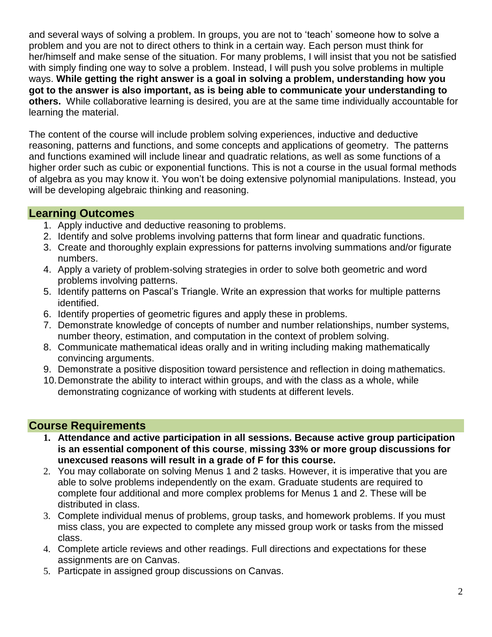and several ways of solving a problem. In groups, you are not to 'teach' someone how to solve a problem and you are not to direct others to think in a certain way. Each person must think for her/himself and make sense of the situation. For many problems, I will insist that you not be satisfied with simply finding one way to solve a problem. Instead, I will push you solve problems in multiple ways. **While getting the right answer is a goal in solving a problem, understanding how you got to the answer is also important, as is being able to communicate your understanding to others.** While collaborative learning is desired, you are at the same time individually accountable for learning the material.

The content of the course will include problem solving experiences, inductive and deductive reasoning, patterns and functions, and some concepts and applications of geometry. The patterns and functions examined will include linear and quadratic relations, as well as some functions of a higher order such as cubic or exponential functions. This is not a course in the usual formal methods of algebra as you may know it. You won't be doing extensive polynomial manipulations. Instead, you will be developing algebraic thinking and reasoning.

# **Learning Outcomes**

- 1. Apply inductive and deductive reasoning to problems.
- 2. Identify and solve problems involving patterns that form linear and quadratic functions.
- 3. Create and thoroughly explain expressions for patterns involving summations and/or figurate numbers.
- 4. Apply a variety of problem-solving strategies in order to solve both geometric and word problems involving patterns.
- 5. Identify patterns on Pascal's Triangle. Write an expression that works for multiple patterns identified.
- 6. Identify properties of geometric figures and apply these in problems.
- 7. Demonstrate knowledge of concepts of number and number relationships, number systems, number theory, estimation, and computation in the context of problem solving.
- 8. Communicate mathematical ideas orally and in writing including making mathematically convincing arguments.
- 9. Demonstrate a positive disposition toward persistence and reflection in doing mathematics.
- 10.Demonstrate the ability to interact within groups, and with the class as a whole, while demonstrating cognizance of working with students at different levels.

# **Course Requirements**

- **1. Attendance and active participation in all sessions. Because active group participation is an essential component of this course**, **missing 33% or more group discussions for unexcused reasons will result in a grade of F for this course.**
- 2. You may collaborate on solving Menus 1 and 2 tasks. However, it is imperative that you are able to solve problems independently on the exam. Graduate students are required to complete four additional and more complex problems for Menus 1 and 2. These will be distributed in class.
- 3. Complete individual menus of problems, group tasks, and homework problems. If you must miss class, you are expected to complete any missed group work or tasks from the missed class.
- 4. Complete article reviews and other readings. Full directions and expectations for these assignments are on Canvas.
- 5. Particpate in assigned group discussions on Canvas.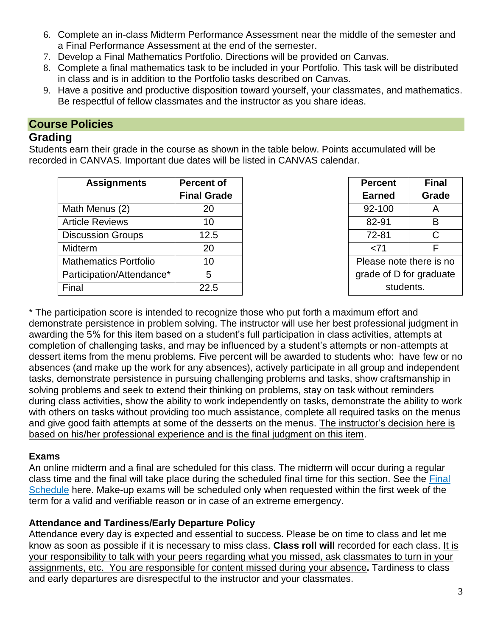- 6. Complete an in-class Midterm Performance Assessment near the middle of the semester and a Final Performance Assessment at the end of the semester.
- 7. Develop a Final Mathematics Portfolio. Directions will be provided on Canvas.
- 8. Complete a final mathematics task to be included in your Portfolio. This task will be distributed in class and is in addition to the Portfolio tasks described on Canvas.
- 9. Have a positive and productive disposition toward yourself, your classmates, and mathematics. Be respectful of fellow classmates and the instructor as you share ideas.

# **Course Policies**

## **Grading**

Students earn their grade in the course as shown in the table below. Points accumulated will be recorded in CANVAS. Important due dates will be listed in CANVAS calendar.

| <b>Assignments</b>           | <b>Percent of</b>  | <b>Percent</b>          | <b>Final</b> |
|------------------------------|--------------------|-------------------------|--------------|
|                              | <b>Final Grade</b> | <b>Earned</b>           | Grade        |
| Math Menus (2)               | 20                 | 92-100                  | A            |
| <b>Article Reviews</b>       | 10                 | 82-91                   | B            |
| <b>Discussion Groups</b>     | 12.5               | 72-81                   |              |
| Midterm                      | 20                 | <71                     |              |
| <b>Mathematics Portfolio</b> | 10                 | Please note there is no |              |
| Participation/Attendance*    | 5                  | grade of D for graduate |              |
| Final                        | 22.5               | students.               |              |

| Percent                 | Final |  |  |  |
|-------------------------|-------|--|--|--|
| <b>Earned</b>           | Grade |  |  |  |
| 92-100                  | A     |  |  |  |
| 82-91                   | в     |  |  |  |
| 72-81                   | C     |  |  |  |
| <71                     | F     |  |  |  |
| Please note there is no |       |  |  |  |
| grade of D for graduate |       |  |  |  |
| students.               |       |  |  |  |

\* The participation score is intended to recognize those who put forth a maximum effort and demonstrate persistence in problem solving. The instructor will use her best professional judgment in awarding the 5% for this item based on a student's full participation in class activities, attempts at completion of challenging tasks, and may be influenced by a student's attempts or non-attempts at dessert items from the menu problems. Five percent will be awarded to students who: have few or no absences (and make up the work for any absences), actively participate in all group and independent tasks, demonstrate persistence in pursuing challenging problems and tasks, show craftsmanship in solving problems and seek to extend their thinking on problems, stay on task without reminders during class activities, show the ability to work independently on tasks, demonstrate the ability to work with others on tasks without providing too much assistance, complete all required tasks on the menus and give good faith attempts at some of the desserts on the menus. The instructor's decision here is based on his/her professional experience and is the final judgment on this item.

## **Exams**

An online midterm and a final are scheduled for this class. The midterm will occur during a regular class time and the final will take place during the scheduled final time for this section. See the [Final](https://www.uab.edu/students/academics/final-exams)  [Schedule](https://www.uab.edu/students/academics/final-exams) here. Make-up exams will be scheduled only when requested within the first week of the term for a valid and verifiable reason or in case of an extreme emergency.

## **Attendance and Tardiness/Early Departure Policy**

Attendance every day is expected and essential to success. Please be on time to class and let me know as soon as possible if it is necessary to miss class. **Class roll will** recorded for each class. It is your responsibility to talk with your peers regarding what you missed, ask classmates to turn in your assignments, etc. You are responsible for content missed during your absence**.** Tardiness to class and early departures are disrespectful to the instructor and your classmates.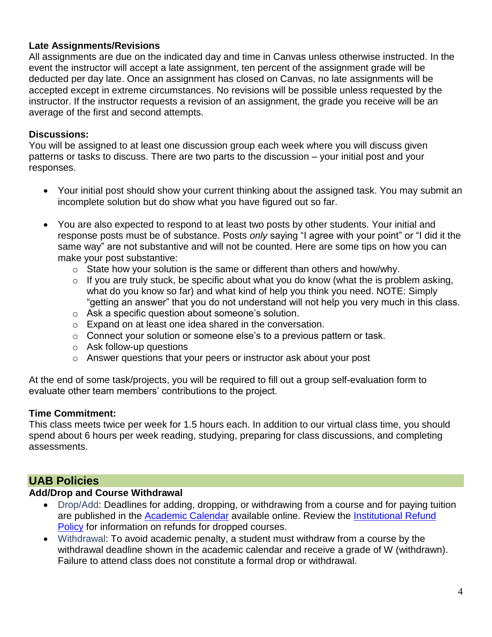## **Late Assignments/Revisions**

All assignments are due on the indicated day and time in Canvas unless otherwise instructed. In the event the instructor will accept a late assignment, ten percent of the assignment grade will be deducted per day late. Once an assignment has closed on Canvas, no late assignments will be accepted except in extreme circumstances. No revisions will be possible unless requested by the instructor. If the instructor requests a revision of an assignment, the grade you receive will be an average of the first and second attempts.

### **Discussions:**

You will be assigned to at least one discussion group each week where you will discuss given patterns or tasks to discuss. There are two parts to the discussion – your initial post and your responses.

- Your initial post should show your current thinking about the assigned task. You may submit an incomplete solution but do show what you have figured out so far.
- You are also expected to respond to at least two posts by other students. Your initial and response posts must be of substance. Posts *only* saying "I agree with your point" or "I did it the same way" are not substantive and will not be counted. Here are some tips on how you can make your post substantive:
	- $\circ$  State how your solution is the same or different than others and how/why.
	- $\circ$  If you are truly stuck, be specific about what you do know (what the is problem asking, what do you know so far) and what kind of help you think you need. NOTE: Simply "getting an answer" that you do not understand will not help you very much in this class.
	- o Ask a specific question about someone's solution.
	- o Expand on at least one idea shared in the conversation.
	- o Connect your solution or someone else's to a previous pattern or task.
	- o Ask follow-up questions
	- o Answer questions that your peers or instructor ask about your post

At the end of some task/projects, you will be required to fill out a group self-evaluation form to evaluate other team members' contributions to the project.

#### **Time Commitment:**

This class meets twice per week for 1.5 hours each. In addition to our virtual class time, you should spend about 6 hours per week reading, studying, preparing for class discussions, and completing assessments.

## **UAB Policies**

#### **Add/Drop and Course Withdrawal**

- Drop/Add: Deadlines for adding, dropping, or withdrawing from a course and for paying tuition are published in the [Academic Calendar](https://www.uab.edu/students/academics/academic-calendar) available online. Review the [Institutional Refund](https://www.uab.edu/students/one-stop/policies/institutional-refund-policy)  [Policy](https://www.uab.edu/students/one-stop/policies/institutional-refund-policy) for information on refunds for dropped courses.
- Withdrawal: To avoid academic penalty, a student must withdraw from a course by the withdrawal deadline shown in the academic calendar and receive a grade of W (withdrawn). Failure to attend class does not constitute a formal drop or withdrawal.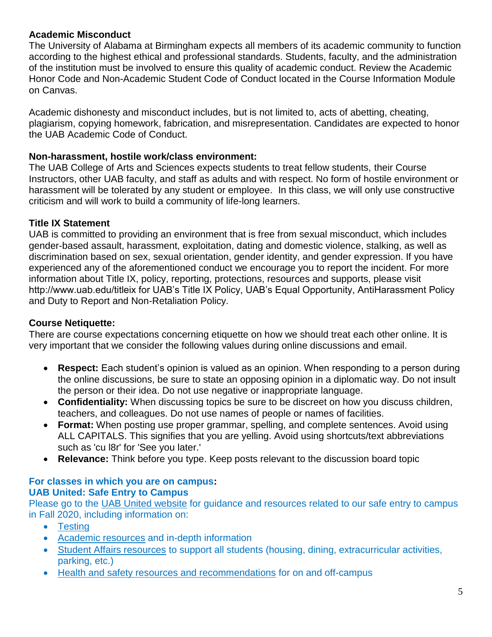## **Academic Misconduct**

The University of Alabama at Birmingham expects all members of its academic community to function according to the highest ethical and professional standards. Students, faculty, and the administration of the institution must be involved to ensure this quality of academic conduct. Review the Academic Honor Code and Non-Academic Student Code of Conduct located in the Course Information Module on Canvas.

Academic dishonesty and misconduct includes, but is not limited to, acts of abetting, cheating, plagiarism, copying homework, fabrication, and misrepresentation. Candidates are expected to honor the UAB Academic Code of Conduct.

## **Non-harassment, hostile work/class environment:**

The UAB College of Arts and Sciences expects students to treat fellow students, their Course Instructors, other UAB faculty, and staff as adults and with respect. No form of hostile environment or harassment will be tolerated by any student or employee. In this class, we will only use constructive criticism and will work to build a community of life-long learners.

## **Title IX Statement**

UAB is committed to providing an environment that is free from sexual misconduct, which includes gender-based assault, harassment, exploitation, dating and domestic violence, stalking, as well as discrimination based on sex, sexual orientation, gender identity, and gender expression. If you have experienced any of the aforementioned conduct we encourage you to report the incident. For more information about Title IX, policy, reporting, protections, resources and supports, please visit http://www.uab.edu/titleix for UAB's Title IX Policy, UAB's Equal Opportunity, AntiHarassment Policy and Duty to Report and Non-Retaliation Policy.

## **Course Netiquette:**

There are course expectations concerning etiquette on how we should treat each other online. It is very important that we consider the following values during online discussions and email.

- **Respect:** Each student's opinion is valued as an opinion. When responding to a person during the online discussions, be sure to state an opposing opinion in a diplomatic way. Do not insult the person or their idea. Do not use negative or inappropriate language.
- **Confidentiality:** When discussing topics be sure to be discreet on how you discuss children, teachers, and colleagues. Do not use names of people or names of facilities.
- **Format:** When posting use proper grammar, spelling, and complete sentences. Avoid using ALL CAPITALS. This signifies that you are yelling. Avoid using shortcuts/text abbreviations such as 'cu l8r' for 'See you later.'
- **Relevance:** Think before you type. Keep posts relevant to the discussion board topic

## **For classes in which you are on campus: UAB United: Safe Entry to Campus**

Please go to the [UAB United website](https://www.uab.edu/uabunited/students) for guidance and resources related to our safe entry to campus in Fall 2020, including information on:

- [Testing](https://www.uab.edu/uabunited/students/testing)
- [Academic resources](https://www.uab.edu/uabunited/students/academics) and in-depth information
- [Student Affairs resources](https://www.uab.edu/uabunited/students/student-affairs) to support all students (housing, dining, extracurricular activities, parking, etc.)
- [Health and safety resources and recommendations](https://www.uab.edu/uabunited/students/health-safety) for on and off-campus